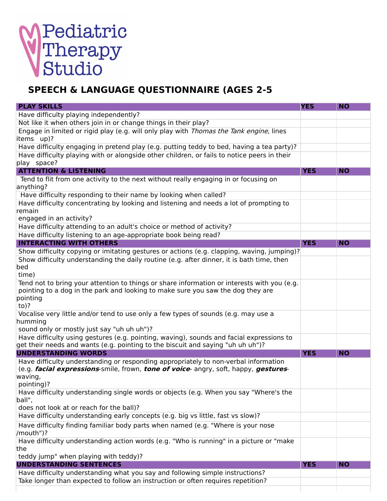## Pediatric<br>Therapy<br>Studio

## **SPEECH & LANGUAGE QUESTIONNAIRE (AGES 2-5**

| <b>PLAY SKILLS</b>                                                                                                                                                                                                          | <b>YES</b> | <b>NO</b> |
|-----------------------------------------------------------------------------------------------------------------------------------------------------------------------------------------------------------------------------|------------|-----------|
| Have difficulty playing independently?                                                                                                                                                                                      |            |           |
| Not like it when others join in or change things in their play?                                                                                                                                                             |            |           |
| Engage in limited or rigid play (e.g. will only play with <i>Thomas the Tank engine</i> , lines<br>items up)?                                                                                                               |            |           |
| Have difficulty engaging in pretend play (e.g. putting teddy to bed, having a tea party)?                                                                                                                                   |            |           |
| Have difficulty playing with or alongside other children, or fails to notice peers in their                                                                                                                                 |            |           |
| play space?                                                                                                                                                                                                                 |            |           |
| <b>ATTENTION &amp; LISTENING</b>                                                                                                                                                                                            | <b>YES</b> | <b>NO</b> |
| Tend to flit from one activity to the next without really engaging in or focusing on                                                                                                                                        |            |           |
| anything?                                                                                                                                                                                                                   |            |           |
| Have difficulty responding to their name by looking when called?                                                                                                                                                            |            |           |
| Have difficulty concentrating by looking and listening and needs a lot of prompting to<br>remain                                                                                                                            |            |           |
| engaged in an activity?                                                                                                                                                                                                     |            |           |
| Have difficulty attending to an adult's choice or method of activity?                                                                                                                                                       |            |           |
| Have difficulty listening to an age-appropriate book being read?<br><b>INTERACTING WITH OTHERS</b>                                                                                                                          |            |           |
|                                                                                                                                                                                                                             | <b>YES</b> | <b>NO</b> |
| Show difficulty copying or imitating gestures or actions (e.g. clapping, waving, jumping)?<br>Show difficulty understanding the daily routine (e.g. after dinner, it is bath time, then                                     |            |           |
| bed<br>time)                                                                                                                                                                                                                |            |           |
| Tend not to bring your attention to things or share information or interests with you (e.g.<br>pointing to a dog in the park and looking to make sure you saw the dog they are<br>pointing<br>$to)$ ?                       |            |           |
| Vocalise very little and/or tend to use only a few types of sounds (e.g. may use a<br>humming<br>sound only or mostly just say "uh uh uh")?                                                                                 |            |           |
| Have difficulty using gestures (e.g. pointing, waving), sounds and facial expressions to<br>get their needs and wants (e.g. pointing to the biscuit and saying "uh uh uh")?                                                 |            |           |
| <b>UNDERSTANDING WORDS</b>                                                                                                                                                                                                  | <b>YES</b> | <b>NO</b> |
| Have difficulty understanding or responding appropriately to non-verbal information<br>(e.g. <i>facial expressions</i> -smile, frown, <i>tone of voice</i> - angry, soft, happy, <i>gestures</i> -<br>waving,<br>pointing)? |            |           |
| Have difficulty understanding single words or objects (e.g. When you say "Where's the<br>ball",                                                                                                                             |            |           |
| does not look at or reach for the ball)?                                                                                                                                                                                    |            |           |
| Have difficulty understanding early concepts (e.g. big vs little, fast vs slow)?                                                                                                                                            |            |           |
| Have difficulty finding familiar body parts when named (e.g. "Where is your nose<br>/mouth")?                                                                                                                               |            |           |
| Have difficulty understanding action words (e.g. "Who is running" in a picture or "make                                                                                                                                     |            |           |
| the                                                                                                                                                                                                                         |            |           |
| teddy jump" when playing with teddy)?                                                                                                                                                                                       |            |           |
| <b>UNDERSTANDING SENTENCES</b>                                                                                                                                                                                              | <b>YES</b> | <b>NO</b> |
| Have difficulty understanding what you say and following simple instructions?                                                                                                                                               |            |           |
| Take longer than expected to follow an instruction or often requires repetition?                                                                                                                                            |            |           |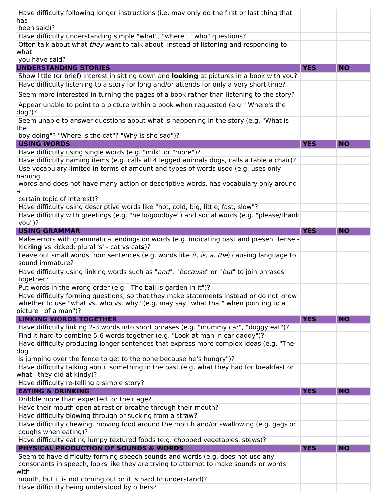| Have difficulty following longer instructions (i.e. may only do the first or last thing that                                                                    |            |           |
|-----------------------------------------------------------------------------------------------------------------------------------------------------------------|------------|-----------|
| has                                                                                                                                                             |            |           |
| been said)?                                                                                                                                                     |            |           |
| Have difficulty understanding simple "what", "where", "who" questions?                                                                                          |            |           |
| Often talk about what they want to talk about, instead of listening and responding to                                                                           |            |           |
| what<br>you have said?                                                                                                                                          |            |           |
| <b>UNDERSTANDING STORIES</b>                                                                                                                                    | <b>YES</b> | <b>NO</b> |
| Show little (or brief) interest in sitting down and looking at pictures in a book with you?                                                                     |            |           |
| Have difficulty listening to a story for long and/or attends for only a very short time?                                                                        |            |           |
| Seem more interested in turning the pages of a book rather than listening to the story?                                                                         |            |           |
|                                                                                                                                                                 |            |           |
| Appear unable to point to a picture within a book when requested (e.g. "Where's the                                                                             |            |           |
| $dog")$ ?<br>Seem unable to answer questions about what is happening in the story (e.g. "What is                                                                |            |           |
| the                                                                                                                                                             |            |           |
| boy doing"? "Where is the cat"? "Why is she sad")?                                                                                                              |            |           |
| <b>USING WORDS</b>                                                                                                                                              | <b>YES</b> | <b>NO</b> |
| Have difficulty using single words (e.g. "milk" or "more")?                                                                                                     |            |           |
| Have difficulty naming items (e.g. calls all 4 legged animals dogs, calls a table a chair)?                                                                     |            |           |
| Use vocabulary limited in terms of amount and types of words used (e.g. uses only                                                                               |            |           |
| naming                                                                                                                                                          |            |           |
| words and does not have many action or descriptive words, has vocabulary only around                                                                            |            |           |
| a                                                                                                                                                               |            |           |
| certain topic of interest)?                                                                                                                                     |            |           |
| Have difficulty using descriptive words like "hot, cold, big, little, fast, slow"?                                                                              |            |           |
| Have difficulty with greetings (e.g. "hello/goodbye") and social words (e.g. "please/thank                                                                      |            |           |
| you")?                                                                                                                                                          |            |           |
| <b>USING GRAMMAR</b>                                                                                                                                            | <b>YES</b> | <b>NO</b> |
| Make errors with grammatical endings on words (e.g. indicating past and present tense -<br>kicking vs kicked; plural 's' - cat vs cats)?                        |            |           |
| Leave out small words from sentences (e.g. words like <i>it, is, a, the</i> ) causing language to                                                               |            |           |
| sound immature?                                                                                                                                                 |            |           |
| Have difficulty using linking words such as "and", "because" or "but" to join phrases                                                                           |            |           |
| together?                                                                                                                                                       |            |           |
| Put words in the wrong order (e.g. "The ball is garden in it")?                                                                                                 |            |           |
| Have difficulty forming questions, so that they make statements instead or do not know                                                                          |            |           |
| whether to use "what vs. who vs. why" (e.g. may say "what that" when pointing to a                                                                              |            |           |
| picture of a man")?                                                                                                                                             |            |           |
| <b>LINKING WORDS TOGETHER</b>                                                                                                                                   | <b>YES</b> | <b>NO</b> |
| Have difficulty linking 2-3 words into short phrases (e.g. "mummy car", "doggy eat")?                                                                           |            |           |
| Find it hard to combine 5-6 words together (e.g. "Look at man in car daddy")?                                                                                   |            |           |
| Have difficulty producing longer sentences that express more complex ideas (e.g. "The                                                                           |            |           |
| dog                                                                                                                                                             |            |           |
| is jumping over the fence to get to the bone because he's hungry")?<br>Have difficulty talking about something in the past (e.g. what they had for breakfast or |            |           |
| what they did at kindy)?                                                                                                                                        |            |           |
| Have difficulty re-telling a simple story?                                                                                                                      |            |           |
| <b>EATING &amp; DRINKING</b>                                                                                                                                    | <b>YES</b> | <b>NO</b> |
| Dribble more than expected for their age?                                                                                                                       |            |           |
| Have their mouth open at rest or breathe through their mouth?                                                                                                   |            |           |
| Have difficulty blowing through or sucking from a straw?                                                                                                        |            |           |
| Have difficulty chewing, moving food around the mouth and/or swallowing (e.g. gags or                                                                           |            |           |
| coughs when eating)?                                                                                                                                            |            |           |
|                                                                                                                                                                 |            |           |
| Have difficulty eating lumpy textured foods (e.g. chopped vegetables, stews)?                                                                                   |            |           |
| <b>PHYSICAL PRODUCTION OF SOUNDS &amp; WORDS</b>                                                                                                                | <b>YES</b> | <b>NO</b> |
| Seem to have difficulty forming speech sounds and words (e.g. does not use any                                                                                  |            |           |
| consonants in speech, looks like they are trying to attempt to make sounds or words                                                                             |            |           |
| with                                                                                                                                                            |            |           |
| mouth, but it is not coming out or it is hard to understand)?<br>Have difficulty being understood by others?                                                    |            |           |